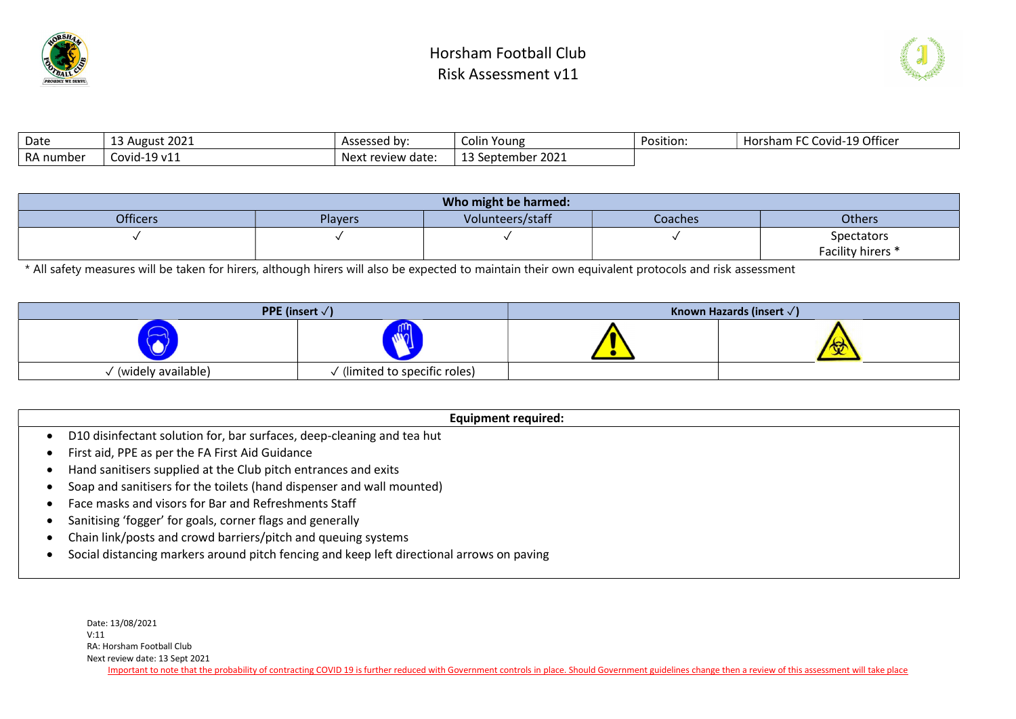



| Date      | 13 August 2021        | Assessed by:      | Colin<br>Young | Position: | 1-19 Officer<br>™C Covid-19 J<br>- 「Horsham Fu」 |
|-----------|-----------------------|-------------------|----------------|-----------|-------------------------------------------------|
| RA number | $-19$ $v11$<br>Covid- | Next review date: | September 2021 |           |                                                 |

|                 |         | Who might be harmed: |         |                   |
|-----------------|---------|----------------------|---------|-------------------|
| <b>Officers</b> | Players | Volunteers/staff     | Coaches | <b>Others</b>     |
|                 |         |                      |         | Spectators        |
|                 |         |                      |         | Facility hirers * |

\* All safety measures will be taken for hirers, although hirers will also be expected to maintain their own equivalent protocols and risk assessment

|                      | <b>PPE</b> (insert $\sqrt{}$ ) | Known Hazards (insert $\sqrt{}$ ) |
|----------------------|--------------------------------|-----------------------------------|
|                      | nal                            | w                                 |
| ' (widely available) | / (limited to specific roles)  |                                   |

| Equipment required:                                                                       |
|-------------------------------------------------------------------------------------------|
| D10 disinfectant solution for, bar surfaces, deep-cleaning and tea hut                    |
| First aid, PPE as per the FA First Aid Guidance                                           |
| Hand sanitisers supplied at the Club pitch entrances and exits                            |
| Soap and sanitisers for the toilets (hand dispenser and wall mounted)                     |
| Face masks and visors for Bar and Refreshments Staff                                      |
| Sanitising 'fogger' for goals, corner flags and generally                                 |
| Chain link/posts and crowd barriers/pitch and queuing systems                             |
| Social distancing markers around pitch fencing and keep left directional arrows on paving |
|                                                                                           |

Date: 13/08/2021 V:11 RA: Horsham Football Club Next review date: 13 Sept 2021 Important to note that the probability of contracting COVID 19 is further reduced with Government controls in place. Should Government guidelines change then a review of this assessment will take place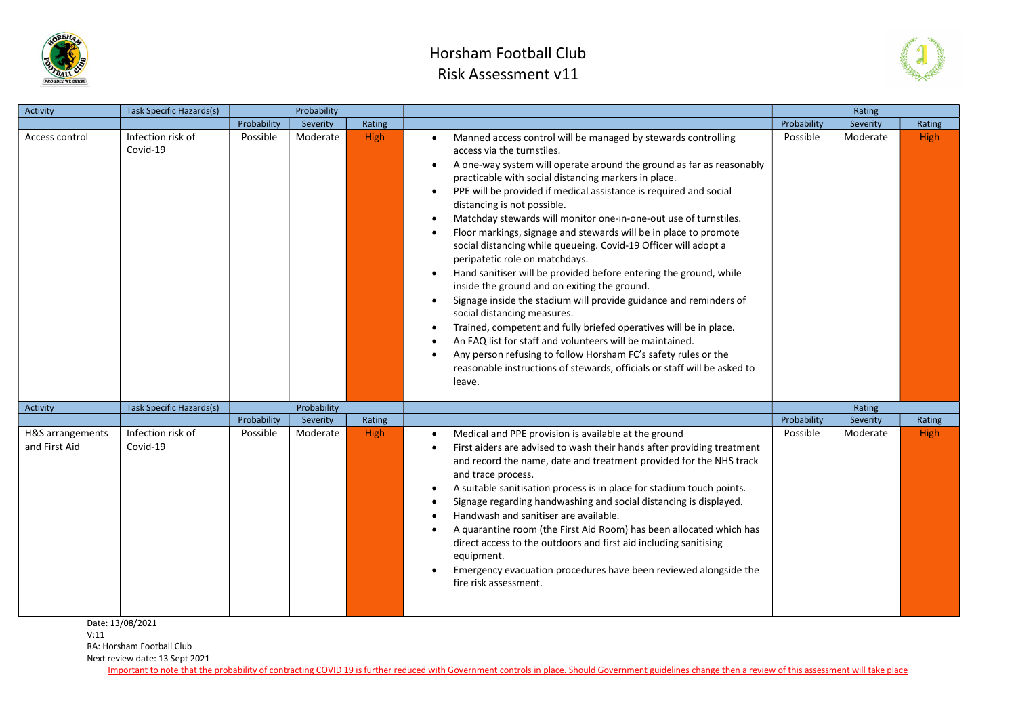

## Horsham Football Club Risk Assessment v11



| Activity                          | <b>Task Specific Hazards(s)</b>                   |             | Probability |             |                                                                                                                                                                                                                                                                                                                                                                                                                                                                                                                                                                                                                                                                                                                                                                                                                                                                                                                                                                                                                                                                                                                                                                 |             | Rating   |             |
|-----------------------------------|---------------------------------------------------|-------------|-------------|-------------|-----------------------------------------------------------------------------------------------------------------------------------------------------------------------------------------------------------------------------------------------------------------------------------------------------------------------------------------------------------------------------------------------------------------------------------------------------------------------------------------------------------------------------------------------------------------------------------------------------------------------------------------------------------------------------------------------------------------------------------------------------------------------------------------------------------------------------------------------------------------------------------------------------------------------------------------------------------------------------------------------------------------------------------------------------------------------------------------------------------------------------------------------------------------|-------------|----------|-------------|
|                                   |                                                   | Probability | Severity    | Rating      |                                                                                                                                                                                                                                                                                                                                                                                                                                                                                                                                                                                                                                                                                                                                                                                                                                                                                                                                                                                                                                                                                                                                                                 | Probability | Severity | Rating      |
| Access control                    | Infection risk of<br>Covid-19                     | Possible    | Moderate    | <b>High</b> | Manned access control will be managed by stewards controlling<br>$\bullet$<br>access via the turnstiles.<br>A one-way system will operate around the ground as far as reasonably<br>$\bullet$<br>practicable with social distancing markers in place.<br>PPE will be provided if medical assistance is required and social<br>$\bullet$<br>distancing is not possible.<br>Matchday stewards will monitor one-in-one-out use of turnstiles.<br>Floor markings, signage and stewards will be in place to promote<br>social distancing while queueing. Covid-19 Officer will adopt a<br>peripatetic role on matchdays.<br>Hand sanitiser will be provided before entering the ground, while<br>$\bullet$<br>inside the ground and on exiting the ground.<br>Signage inside the stadium will provide guidance and reminders of<br>$\bullet$<br>social distancing measures.<br>Trained, competent and fully briefed operatives will be in place.<br>An FAQ list for staff and volunteers will be maintained.<br>Any person refusing to follow Horsham FC's safety rules or the<br>reasonable instructions of stewards, officials or staff will be asked to<br>leave. | Possible    | Moderate | <b>High</b> |
| <b>Activity</b>                   | Task Specific Hazards(s)                          |             | Probability |             |                                                                                                                                                                                                                                                                                                                                                                                                                                                                                                                                                                                                                                                                                                                                                                                                                                                                                                                                                                                                                                                                                                                                                                 |             | Rating   |             |
|                                   |                                                   | Probability | Severity    | Rating      |                                                                                                                                                                                                                                                                                                                                                                                                                                                                                                                                                                                                                                                                                                                                                                                                                                                                                                                                                                                                                                                                                                                                                                 | Probability | Severity | Rating      |
| H&S arrangements<br>and First Aid | Infection risk of<br>Covid-19<br>Date: 13/08/2021 | Possible    | Moderate    | <b>High</b> | Medical and PPE provision is available at the ground<br>$\bullet$<br>First aiders are advised to wash their hands after providing treatment<br>and record the name, date and treatment provided for the NHS track<br>and trace process.<br>A suitable sanitisation process is in place for stadium touch points.<br>$\bullet$<br>Signage regarding handwashing and social distancing is displayed.<br>Handwash and sanitiser are available.<br>A quarantine room (the First Aid Room) has been allocated which has<br>direct access to the outdoors and first aid including sanitising<br>equipment.<br>Emergency evacuation procedures have been reviewed alongside the<br>fire risk assessment.                                                                                                                                                                                                                                                                                                                                                                                                                                                               | Possible    | Moderate | <b>High</b> |

Date: 13/08/2021

V:11

RA: Horsham Football Club

Next review date: 13 Sept 2021

Important to note that the probability of contracting COVID 19 is further reduced with Government controls in place. Should Government guidelines change then a review of this assessment will take place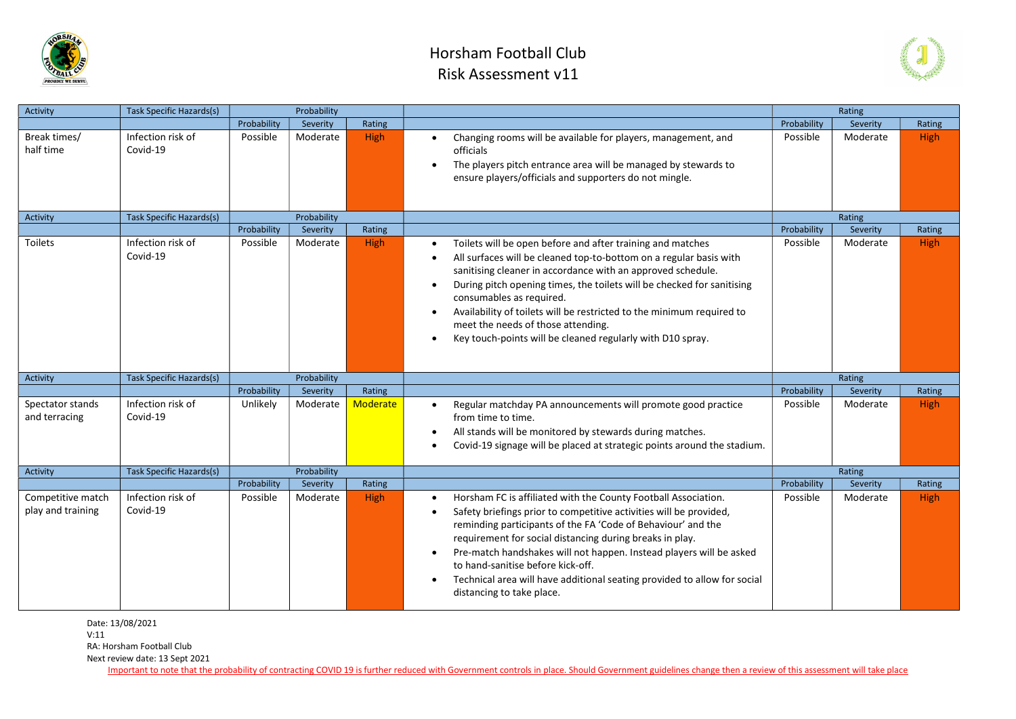

## Horsham Football Club Risk Assessment v11



| Activity                               | <b>Task Specific Hazards(s)</b> |             | Probability |                 |                                                                                                                                                                                                                                                                                                                                                                                                                                                                                       |             | Rating   |             |
|----------------------------------------|---------------------------------|-------------|-------------|-----------------|---------------------------------------------------------------------------------------------------------------------------------------------------------------------------------------------------------------------------------------------------------------------------------------------------------------------------------------------------------------------------------------------------------------------------------------------------------------------------------------|-------------|----------|-------------|
|                                        |                                 | Probability | Severity    | Rating          |                                                                                                                                                                                                                                                                                                                                                                                                                                                                                       | Probability | Severity | Rating      |
| Break times/<br>half time              | Infection risk of<br>Covid-19   | Possible    | Moderate    | <b>High</b>     | Changing rooms will be available for players, management, and<br>$\bullet$<br>officials<br>The players pitch entrance area will be managed by stewards to<br>$\bullet$<br>ensure players/officials and supporters do not mingle.                                                                                                                                                                                                                                                      | Possible    | Moderate | <b>High</b> |
| Activity                               | Task Specific Hazards(s)        |             | Probability |                 |                                                                                                                                                                                                                                                                                                                                                                                                                                                                                       |             | Rating   |             |
|                                        |                                 | Probability | Severity    | Rating          |                                                                                                                                                                                                                                                                                                                                                                                                                                                                                       | Probability | Severity | Rating      |
| Toilets                                | Infection risk of<br>Covid-19   | Possible    | Moderate    | <b>High</b>     | Toilets will be open before and after training and matches<br>All surfaces will be cleaned top-to-bottom on a regular basis with<br>sanitising cleaner in accordance with an approved schedule.<br>During pitch opening times, the toilets will be checked for sanitising<br>consumables as required.<br>Availability of toilets will be restricted to the minimum required to<br>meet the needs of those attending.<br>Key touch-points will be cleaned regularly with D10 spray.    | Possible    | Moderate | <b>High</b> |
| Activity                               | <b>Task Specific Hazards(s)</b> |             | Probability |                 |                                                                                                                                                                                                                                                                                                                                                                                                                                                                                       |             | Rating   |             |
|                                        |                                 | Probability | Severity    | Rating          |                                                                                                                                                                                                                                                                                                                                                                                                                                                                                       | Probability | Severity | Rating      |
| Spectator stands<br>and terracing      | Infection risk of<br>Covid-19   | Unlikely    | Moderate    | <b>Moderate</b> | Regular matchday PA announcements will promote good practice<br>$\bullet$<br>from time to time.<br>All stands will be monitored by stewards during matches.<br>$\bullet$<br>Covid-19 signage will be placed at strategic points around the stadium.<br>$\bullet$                                                                                                                                                                                                                      | Possible    | Moderate | <b>High</b> |
| Activity                               | Task Specific Hazards(s)        |             | Probability |                 |                                                                                                                                                                                                                                                                                                                                                                                                                                                                                       |             | Rating   |             |
|                                        |                                 | Probability | Severity    | Rating          |                                                                                                                                                                                                                                                                                                                                                                                                                                                                                       | Probability | Severity | Rating      |
| Competitive match<br>play and training | Infection risk of<br>Covid-19   | Possible    | Moderate    | <b>High</b>     | Horsham FC is affiliated with the County Football Association.<br>Safety briefings prior to competitive activities will be provided,<br>reminding participants of the FA 'Code of Behaviour' and the<br>requirement for social distancing during breaks in play.<br>Pre-match handshakes will not happen. Instead players will be asked<br>to hand-sanitise before kick-off.<br>Technical area will have additional seating provided to allow for social<br>distancing to take place. | Possible    | Moderate | <b>High</b> |

Date: 13/08/2021

V:11

RA: Horsham Football Club

Next review date: 13 Sept 2021

Important to note that the probability of contracting COVID 19 is further reduced with Government controls in place. Should Government guidelines change then a review of this assessment will take place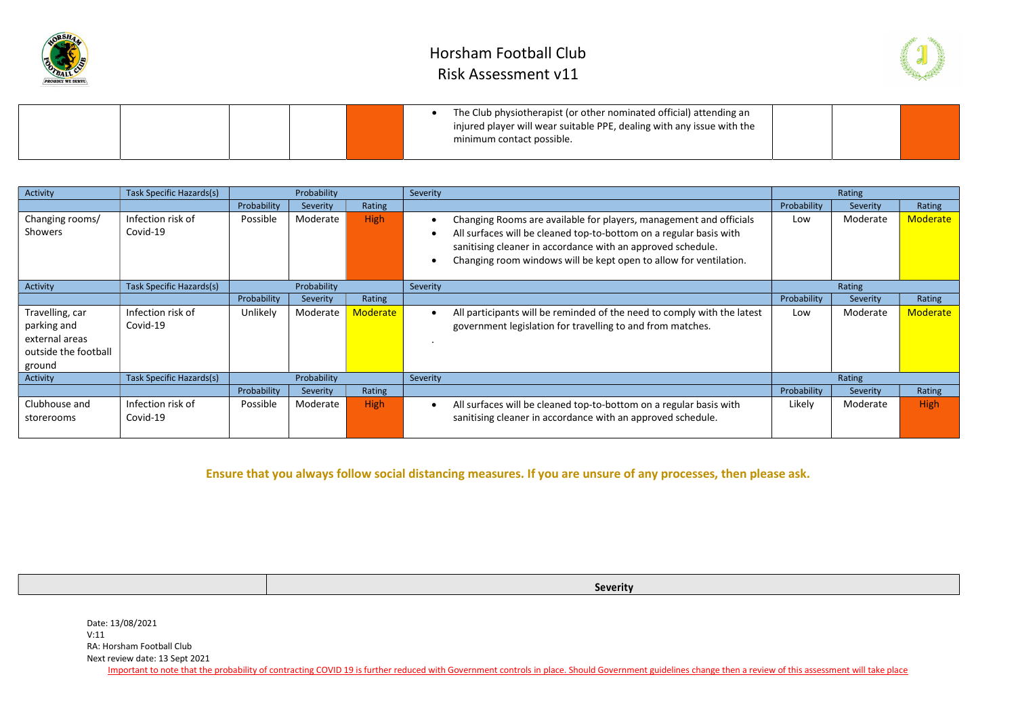



|  |  | The Club physiotherapist (or other nominated official) attending an<br>injured player will wear suitable PPE, dealing with any issue with the<br>minimum contact possible. |  |  |
|--|--|----------------------------------------------------------------------------------------------------------------------------------------------------------------------------|--|--|
|  |  |                                                                                                                                                                            |  |  |

| Activity                                                                           | Task Specific Hazards(s)      |             | Probability |                 | Severity |                                                                                                                                                                                                                                                                              | Rating      |          |                 |
|------------------------------------------------------------------------------------|-------------------------------|-------------|-------------|-----------------|----------|------------------------------------------------------------------------------------------------------------------------------------------------------------------------------------------------------------------------------------------------------------------------------|-------------|----------|-----------------|
|                                                                                    |                               | Probability | Severity    | Rating          |          |                                                                                                                                                                                                                                                                              | Probability | Severity | Rating          |
| Changing rooms/<br>Showers                                                         | Infection risk of<br>Covid-19 | Possible    | Moderate    | <b>High</b>     |          | Changing Rooms are available for players, management and officials<br>All surfaces will be cleaned top-to-bottom on a regular basis with<br>sanitising cleaner in accordance with an approved schedule.<br>Changing room windows will be kept open to allow for ventilation. | Low         | Moderate | <b>Moderate</b> |
| Activity                                                                           | Task Specific Hazards(s)      |             | Probability |                 | Severity |                                                                                                                                                                                                                                                                              |             | Rating   |                 |
|                                                                                    |                               | Probability | Severity    | Rating          |          |                                                                                                                                                                                                                                                                              | Probability | Severity | Rating          |
| Travelling, car<br>parking and<br>external areas<br>outside the football<br>ground | Infection risk of<br>Covid-19 | Unlikely    | Moderate    | <b>Moderate</b> |          | All participants will be reminded of the need to comply with the latest<br>government legislation for travelling to and from matches.                                                                                                                                        | Low         | Moderate | <b>Moderate</b> |
| Activity                                                                           | Task Specific Hazards(s)      |             | Probability |                 | Severity |                                                                                                                                                                                                                                                                              |             | Rating   |                 |
|                                                                                    |                               | Probability | Severity    | Rating          |          |                                                                                                                                                                                                                                                                              | Probability | Severity | Rating          |
| Clubhouse and<br>storerooms                                                        | Infection risk of<br>Covid-19 | Possible    | Moderate    | <b>High</b>     |          | All surfaces will be cleaned top-to-bottom on a regular basis with<br>sanitising cleaner in accordance with an approved schedule.                                                                                                                                            | Likely      | Moderate | <b>High</b>     |

Ensure that you always follow social distancing measures. If you are unsure of any processes, then please ask.

Severity

Date: 13/08/2021 V:11 RA: Horsham Football Club Next review date: 13 Sept 2021

Important to note that the probability of contracting COVID 19 is further reduced with Government controls in place. Should Government guidelines change then a review of this assessment will take place